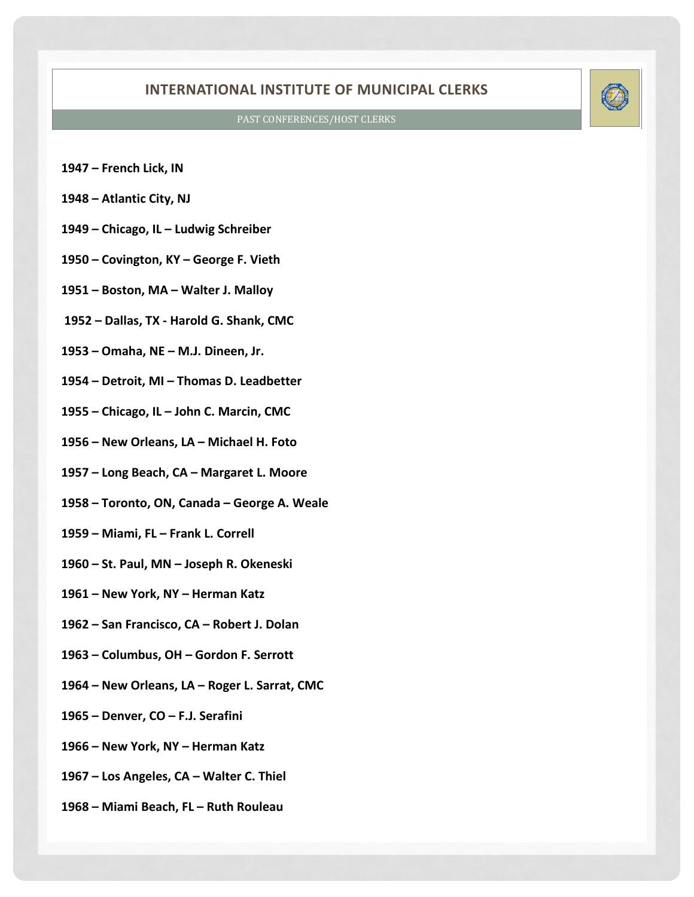## **INTERNATIONAL INSTITUTE OF MUNICIPAL CLERKS**

## PAST CONFERENCES/HOST CLERKS

- **1947 French Lick, IN**
- **1948 Atlantic City, NJ**
- **1949 Chicago, IL Ludwig Schreiber**
- **1950 Covington, KY George F. Vieth**
- **1951 Boston, MA Walter J. Malloy**
- **1952 Dallas, TX Harold G. Shank, CMC**
- **1953 Omaha, NE M.J. Dineen, Jr.**
- **1954 Detroit, MI Thomas D. Leadbetter**
- **1955 Chicago, IL John C. Marcin, CMC**
- **1956 New Orleans, LA Michael H. Foto**
- **1957 Long Beach, CA Margaret L. Moore**
- **1958 Toronto, ON, Canada George A. Weale**
- **1959 Miami, FL Frank L. Correll**
- **1960 St. Paul, MN Joseph R. Okeneski**
- **1961 New York, NY Herman Katz**
- **1962 San Francisco, CA Robert J. Dolan**
- **1963 Columbus, OH Gordon F. Serrott**
- **1964 New Orleans, LA Roger L. Sarrat, CMC**
- **1965 Denver, CO F.J. Serafini**
- **1966 New York, NY Herman Katz**
- **1967 Los Angeles, CA Walter C. Thiel**
- **1968 Miami Beach, FL Ruth Rouleau**

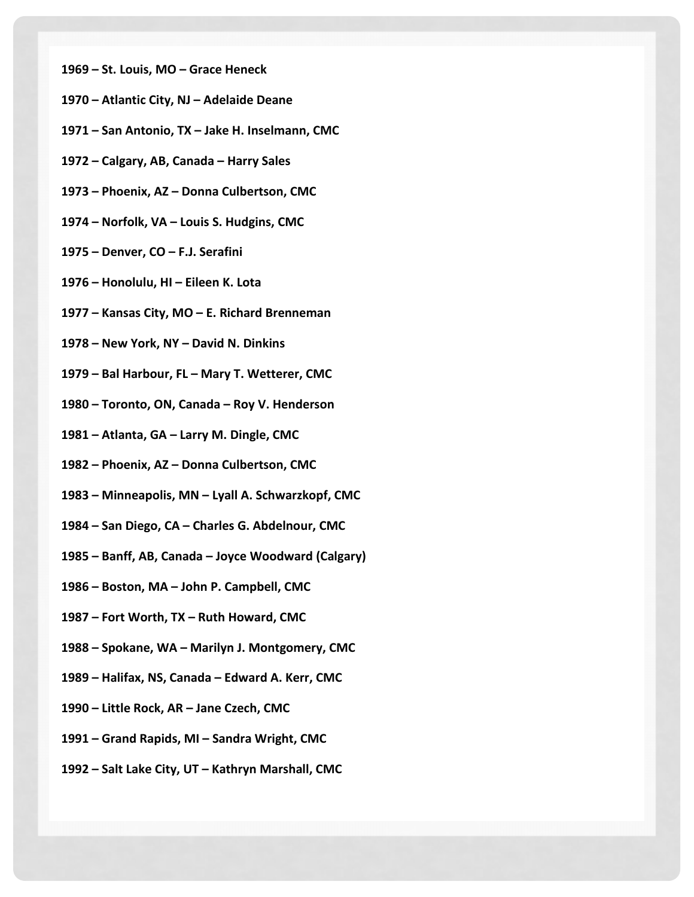- **1969 – St. Louis, MO – Grace Heneck**
- **1970 – Atlantic City, NJ – Adelaide Deane**
- **1971 – San Antonio, TX – Jake H. Inselmann, CMC**
- **1972 – Calgary, AB, Canada – Harry Sales**
- **1973 – Phoenix, AZ – Donna Culbertson, CMC**
- **1974 – Norfolk, VA – Louis S. Hudgins, CMC**
- **1975 – Denver, CO – F.J. Serafini**
- **1976 – Honolulu, HI – Eileen K. Lota**
- **1977 – Kansas City, MO – E. Richard Brenneman**
- **1978 – New York, NY – David N. Dinkins**
- **1979 – Bal Harbour, FL – Mary T. Wetterer, CMC**
- **1980 – Toronto, ON, Canada – Roy V. Henderson**
- **1981 – Atlanta, GA – Larry M. Dingle, CMC**
- **1982 – Phoenix, AZ – Donna Culbertson, CMC**
- **1983 – Minneapolis, MN – Lyall A. Schwarzkopf, CMC**
- **1984 – San Diego, CA – Charles G. Abdelnour, CMC**
- **1985 – Banff, AB, Canada – Joyce Woodward (Calgary)**
- **1986 – Boston, MA – John P. Campbell, CMC**
- **1987 – Fort Worth, TX – Ruth Howard, CMC**
- **1988 – Spokane, WA – Marilyn J. Montgomery, CMC**
- **1989 – Halifax, NS, Canada – Edward A. Kerr, CMC**
- **1990 – Little Rock, AR – Jane Czech, CMC**
- **1991 – Grand Rapids, MI – Sandra Wright, CMC**
- **1992 – Salt Lake City, UT – Kathryn Marshall, CMC**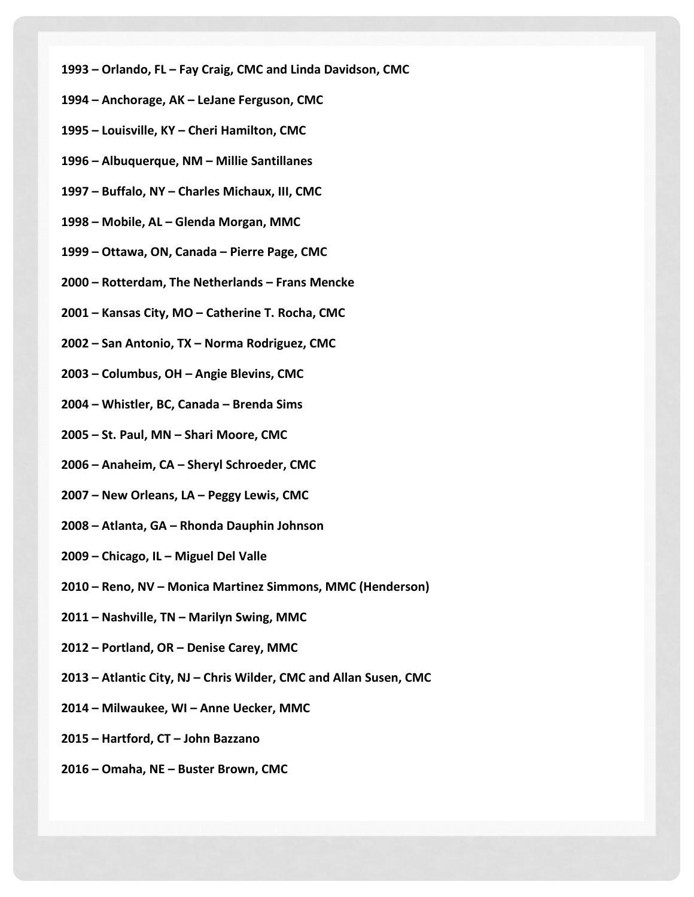- **1993 – Orlando, FL – Fay Craig, CMC and Linda Davidson, CMC**
- **1994 – Anchorage, AK – LeJane Ferguson, CMC**
- **1995 – Louisville, KY – Cheri Hamilton, CMC**
- **1996 – Albuquerque, NM – Millie Santillanes**
- **1997 – Buffalo, NY – Charles Michaux, III, CMC**
- **1998 – Mobile, AL – Glenda Morgan, MMC**
- **1999 – Ottawa, ON, Canada – Pierre Page, CMC**
- **2000 – Rotterdam, The Netherlands – Frans Mencke**
- **2001 – Kansas City, MO – Catherine T. Rocha, CMC**
- **2002 – San Antonio, TX – Norma Rodriguez, CMC**
- **2003 – Columbus, OH – Angie Blevins, CMC**
- **2004 – Whistler, BC, Canada – Brenda Sims**
- **2005 – St. Paul, MN – Shari Moore, CMC**
- **2006 – Anaheim, CA – Sheryl Schroeder, CMC**
- **2007 – New Orleans, LA – Peggy Lewis, CMC**
- **2008 – Atlanta, GA – Rhonda Dauphin Johnson**
- **2009 – Chicago, IL – Miguel Del Valle**
- **2010 – Reno, NV – Monica Martinez Simmons, MMC (Henderson)**
- **2011 – Nashville, TN – Marilyn Swing, MMC**
- **2012 – Portland, OR – Denise Carey, MMC**
- **2013 – Atlantic City, NJ – Chris Wilder, CMC and Allan Susen, CMC**
- **2014 – Milwaukee, WI – Anne Uecker, MMC**
- **2015 – Hartford, CT – John Bazzano**
- **2016 – Omaha, NE – Buster Brown, CMC**